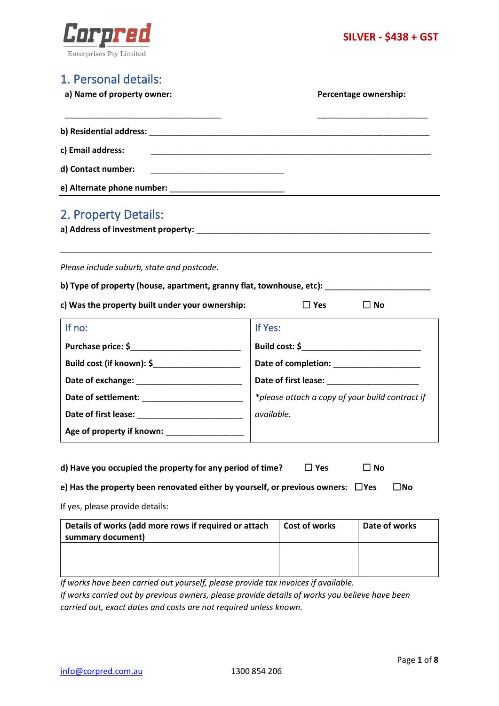

# 1. Personal details:

**a) Name of property owner: Percentage ownership:**

| c) Email address:                                        |  |
|----------------------------------------------------------|--|
|                                                          |  |
| e) Alternate phone number:<br>e) Alternate phone number: |  |
| 2 Property Details:                                      |  |

| $\mathbf{L}$ . Topony Details.     |  |
|------------------------------------|--|
| a) Address of investment property: |  |

*Please include suburb, state and postcode.*

| b) Type of property (house, apartment, granny flat, townhouse, etc): |  |
|----------------------------------------------------------------------|--|
|----------------------------------------------------------------------|--|

\_\_\_\_\_\_\_\_\_\_\_\_\_\_\_\_\_\_\_\_\_\_\_\_\_\_\_\_\_\_\_\_\_\_\_\_\_\_\_\_\_\_\_\_\_\_\_\_\_\_\_\_\_\_\_\_\_\_\_\_\_\_\_\_\_\_\_\_\_\_\_\_\_\_\_\_\_\_\_\_\_

**c) Was the property built under your ownership:** ☐ **Yes** ☐ **No**

| If no:                                        | If Yes:                                         |
|-----------------------------------------------|-------------------------------------------------|
| Purchase price: \$                            | Build cost: \$                                  |
| Build cost (if known): \$                     |                                                 |
|                                               |                                                 |
| Date of settlement: <u>Date of settlement</u> | *please attach a copy of your build contract if |
|                                               | available.                                      |
| Age of property if known:                     |                                                 |

| d) Have you occupied the property for any period of time? | $\Box$ Yes | $\square$ No |  |
|-----------------------------------------------------------|------------|--------------|--|
|-----------------------------------------------------------|------------|--------------|--|

| e) Has the property been renovated either by yourself, or previous owners: $\;\;\Box$ Yes |  | $\square$ No |
|-------------------------------------------------------------------------------------------|--|--------------|
|-------------------------------------------------------------------------------------------|--|--------------|

If yes, please provide details:

| <b>Cost of works</b> | Date of works |
|----------------------|---------------|
|                      |               |
|                      |               |
|                      |               |
|                      |               |
|                      |               |

*If works have been carried out yourself, please provide tax invoices if available. If works carried out by previous owners, please provide details of works you believe have been carried out, exact dates and costs are not required unless known.*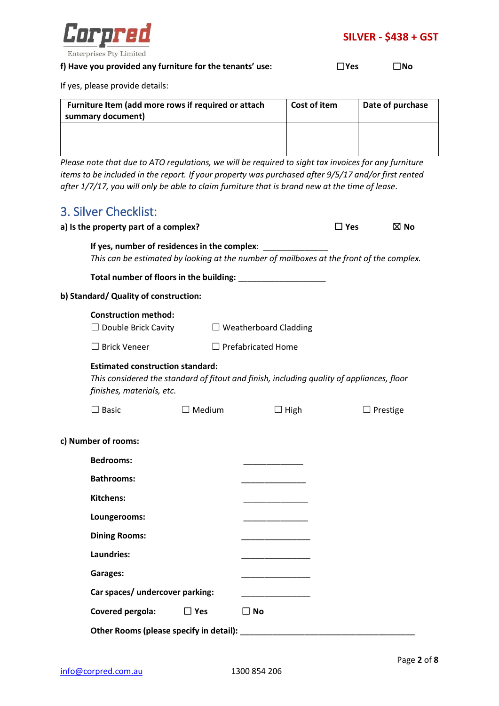

### **f) Have you provided any furniture for the tenants' use:** ☐**Yes** ☐**No**

If yes, please provide details:

| Furniture Item (add more rows if required or attach<br>summary document) | Cost of item | Date of purchase |
|--------------------------------------------------------------------------|--------------|------------------|
|                                                                          |              |                  |
|                                                                          |              |                  |

*Please note that due to ATO regulations, we will be required to sight tax invoices for any furniture items to be included in the report. If your property was purchased after 9/5/17 and/or first rented after 1/7/17, you will only be able to claim furniture that is brand new at the time of lease.*

# 3. Silver Checklist:

| a) Is the property part of a complex?                                |               |                                                                                                                                                         | $\Box$ Yes | $\boxtimes$ No  |
|----------------------------------------------------------------------|---------------|---------------------------------------------------------------------------------------------------------------------------------------------------------|------------|-----------------|
|                                                                      |               | If yes, number of residences in the complex: ______________<br>This can be estimated by looking at the number of mailboxes at the front of the complex. |            |                 |
|                                                                      |               |                                                                                                                                                         |            |                 |
| b) Standard/ Quality of construction:                                |               |                                                                                                                                                         |            |                 |
| <b>Construction method:</b><br>$\Box$ Double Brick Cavity            |               | $\Box$ Weatherboard Cladding                                                                                                                            |            |                 |
| $\Box$ Brick Veneer                                                  |               | $\Box$ Prefabricated Home                                                                                                                               |            |                 |
| <b>Estimated construction standard:</b><br>finishes, materials, etc. |               | This considered the standard of fitout and finish, including quality of appliances, floor                                                               |            |                 |
| $\Box$ Basic                                                         | $\Box$ Medium | $\Box$ High                                                                                                                                             |            | $\Box$ Prestige |
| c) Number of rooms:                                                  |               |                                                                                                                                                         |            |                 |
| <b>Bedrooms:</b>                                                     |               |                                                                                                                                                         |            |                 |
| <b>Bathrooms:</b>                                                    |               |                                                                                                                                                         |            |                 |
| <b>Kitchens:</b>                                                     |               |                                                                                                                                                         |            |                 |
| Loungerooms:                                                         |               |                                                                                                                                                         |            |                 |
| <b>Dining Rooms:</b>                                                 |               |                                                                                                                                                         |            |                 |
| Laundries:                                                           |               |                                                                                                                                                         |            |                 |
| Garages:                                                             |               |                                                                                                                                                         |            |                 |
| Car spaces/ undercover parking:                                      |               |                                                                                                                                                         |            |                 |
| Covered pergola:                                                     | $\Box$ Yes    | $\square$ No                                                                                                                                            |            |                 |
|                                                                      |               | Other Rooms (please specify in detail): North Communications of the Rooms (please specify in detail):                                                   |            |                 |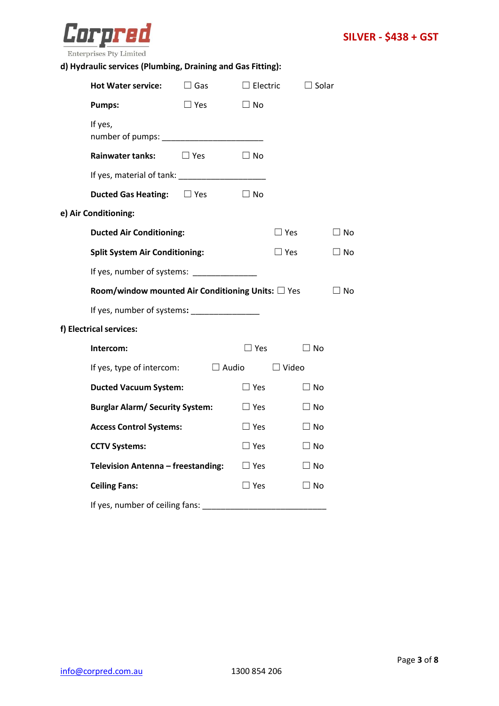

## **d) Hydraulic services (Plumbing, Draining and Gas Fitting):**

| <b>Hot Water service:</b>                                 | $\Box$ Gas    | $\Box$ Electric |               | $\Box$ Solar |
|-----------------------------------------------------------|---------------|-----------------|---------------|--------------|
| <b>Pumps:</b>                                             | $\square$ Yes | $\square$ No    |               |              |
| If yes,                                                   |               |                 |               |              |
| <b>Rainwater tanks:</b>                                   | $\Box$ Yes    | $\Box$ No       |               |              |
|                                                           |               |                 |               |              |
| <b>Ducted Gas Heating:</b> □ Yes                          |               | $\Box$ No       |               |              |
| e) Air Conditioning:                                      |               |                 |               |              |
| <b>Ducted Air Conditioning:</b>                           |               |                 | $\square$ Yes | $\square$ No |
| <b>Split System Air Conditioning:</b>                     |               |                 | $\Box$ Yes    | $\Box$ No    |
| If yes, number of systems: ______________                 |               |                 |               |              |
| Room/window mounted Air Conditioning Units: $\square$ Yes |               |                 |               | $\Box$ No    |
| If yes, number of systems: _________________              |               |                 |               |              |
| f) Electrical services:                                   |               |                 |               |              |
| Intercom:                                                 |               | $\square$ Yes   |               | $\square$ No |
| If yes, type of intercom: $\Box$ Audio                    |               |                 | $\Box$ Video  |              |
| <b>Ducted Vacuum System:</b>                              |               | $\square$ Yes   |               | $\square$ No |
| <b>Burglar Alarm/ Security System:</b>                    |               | $\square$ Yes   |               | $\square$ No |
| <b>Access Control Systems:</b>                            |               | $\Box$ Yes      |               | $\Box$ No    |
| <b>CCTV Systems:</b>                                      |               | $\square$ Yes   |               | $\Box$ No    |
| Television Antenna - freestanding:                        |               | $\Box$ Yes      |               | $\square$ No |
| <b>Ceiling Fans:</b>                                      |               | $\square$ Yes   |               | $\Box$ No    |
| If yes, number of ceiling fans:                           |               |                 |               |              |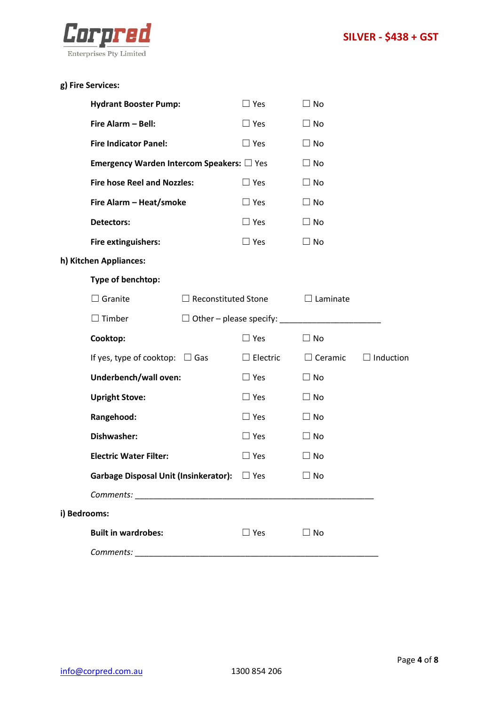

|  | g) Fire Services: |
|--|-------------------|
|--|-------------------|

|              | <b>Hydrant Booster Pump:</b>                             |                            | $\Box$ Yes      | $\Box$ No       |                  |
|--------------|----------------------------------------------------------|----------------------------|-----------------|-----------------|------------------|
|              | Fire Alarm - Bell:                                       |                            | $\Box$ Yes      | $\Box$ No       |                  |
|              | <b>Fire Indicator Panel:</b>                             |                            | $\Box$ Yes      | $\Box$ No       |                  |
|              | <b>Emergency Warden Intercom Speakers:</b> $\square$ Yes |                            |                 | $\Box$ No       |                  |
|              | <b>Fire hose Reel and Nozzles:</b>                       |                            | $\Box$ Yes      | $\Box$ No       |                  |
|              | Fire Alarm - Heat/smoke                                  |                            | $\Box$ Yes      | $\Box$ No       |                  |
|              | <b>Detectors:</b>                                        |                            | $\Box$ Yes      | $\Box$ No       |                  |
|              | Fire extinguishers:                                      |                            | $\Box$ Yes      | $\Box$ No       |                  |
|              | h) Kitchen Appliances:                                   |                            |                 |                 |                  |
|              | Type of benchtop:                                        |                            |                 |                 |                  |
|              | $\Box$ Granite                                           | $\Box$ Reconstituted Stone |                 | $\Box$ Laminate |                  |
|              | $\Box$ Timber                                            |                            |                 |                 |                  |
|              |                                                          |                            |                 |                 |                  |
|              | Cooktop:                                                 |                            | $\Box$ Yes      | $\Box$ No       |                  |
|              | If yes, type of cooktop: $\Box$ Gas                      |                            | $\Box$ Electric | $\Box$ Ceramic  | $\Box$ Induction |
|              | Underbench/wall oven:                                    |                            | $\Box$ Yes      | $\Box$ No       |                  |
|              | <b>Upright Stove:</b>                                    |                            | $\Box$ Yes      | $\Box$ No       |                  |
|              | Rangehood:                                               |                            | $\Box$ Yes      | $\Box$ No       |                  |
|              | Dishwasher:                                              |                            | $\Box$ Yes      | $\Box$ No       |                  |
|              | <b>Electric Water Filter:</b>                            |                            | $\Box$ Yes      | $\Box$ No       |                  |
|              | Garbage Disposal Unit (Insinkerator): □ Yes              |                            |                 | ∃ No            |                  |
|              |                                                          |                            |                 |                 |                  |
| i) Bedrooms: |                                                          |                            |                 |                 |                  |
|              | <b>Built in wardrobes:</b>                               |                            | $\Box$ Yes      | $\Box$ No       |                  |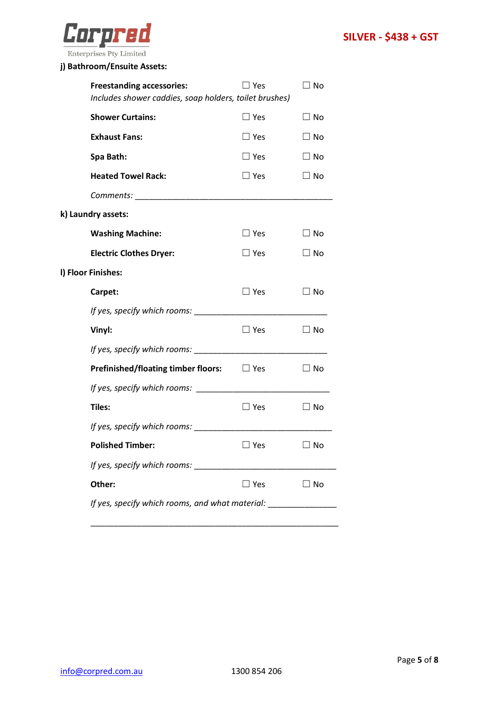

## **j) Bathroom/Ensuite Assets:**

| <b>Freestanding accessories:</b>                                                 | $\square$ Yes | $\Box$ No    |  |
|----------------------------------------------------------------------------------|---------------|--------------|--|
| Includes shower caddies, soap holders, toilet brushes)                           |               |              |  |
| <b>Shower Curtains:</b>                                                          | $\Box$ Yes    | $\Box$ No    |  |
| <b>Exhaust Fans:</b>                                                             | $\Box$ Yes    | $\Box$ No    |  |
| Spa Bath:                                                                        | $\square$ Yes | $\square$ No |  |
| <b>Heated Towel Rack:</b>                                                        | $\Box$ Yes    | $\Box$ No    |  |
|                                                                                  |               |              |  |
| k) Laundry assets:                                                               |               |              |  |
| <b>Washing Machine:</b>                                                          | $\Box$ Yes    | $\Box$ No    |  |
| <b>Electric Clothes Dryer:</b>                                                   | $\square$ Yes | $\Box$ No    |  |
| I) Floor Finishes:                                                               |               |              |  |
| Carpet:                                                                          | $\Box$ Yes    | $\Box$ No    |  |
|                                                                                  |               |              |  |
| Vinyl:                                                                           | $\square$ Yes | $\square$ No |  |
|                                                                                  |               |              |  |
| <b>Prefinished/floating timber floors:</b> $\Box$ Yes                            |               | $\square$ No |  |
| If yes, specify which rooms:                                                     |               |              |  |
| Tiles:                                                                           | $\Box$ Yes    | $\Box$ No    |  |
|                                                                                  |               |              |  |
| <b>Polished Timber:</b>                                                          | $\Box$ Yes    | $\Box$ No    |  |
|                                                                                  |               |              |  |
| Other:                                                                           | $\square$ Yes | $\square$ No |  |
| If yes, specify which rooms, and what material: ________________________________ |               |              |  |
|                                                                                  |               |              |  |

\_\_\_\_\_\_\_\_\_\_\_\_\_\_\_\_\_\_\_\_\_\_\_\_\_\_\_\_\_\_\_\_\_\_\_\_\_\_\_\_\_\_\_\_\_\_\_\_\_\_\_\_\_\_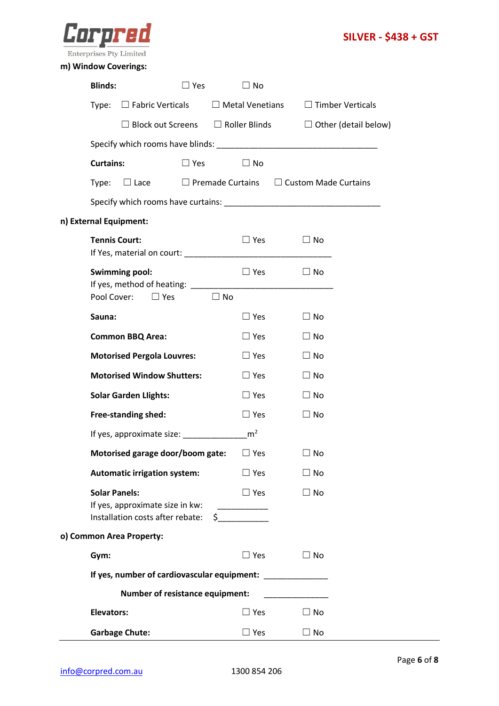



## **m) Window Coverings:**

| <b>Blinds:</b>                                          | $\Box$ Yes                                                                                                                    | $\square$ No           |                                                                           |
|---------------------------------------------------------|-------------------------------------------------------------------------------------------------------------------------------|------------------------|---------------------------------------------------------------------------|
| Type:                                                   | $\Box$ Fabric Verticals                                                                                                       | $\Box$ Metal Venetians | $\Box$ Timber Verticals                                                   |
|                                                         |                                                                                                                               |                        | $\Box$ Block out Screens $\Box$ Roller Blinds $\Box$ Other (detail below) |
|                                                         |                                                                                                                               |                        |                                                                           |
| <b>Curtains:</b>                                        | $\Box$ Yes                                                                                                                    | $\Box$ No              |                                                                           |
| Type:                                                   |                                                                                                                               |                        | $\Box$ Lace $\Box$ Premade Curtains $\Box$ Custom Made Curtains           |
|                                                         |                                                                                                                               |                        |                                                                           |
| n) External Equipment:                                  |                                                                                                                               |                        |                                                                           |
| <b>Tennis Court:</b>                                    |                                                                                                                               | $\square$ Yes          | $\Box$ No                                                                 |
| <b>Swimming pool:</b>                                   |                                                                                                                               | $\Box$ Yes             | $\Box$ No                                                                 |
| Pool Cover:                                             | $\Box$ Yes<br>tical Distribution District District District District District District District District District District Di |                        |                                                                           |
| Sauna:                                                  |                                                                                                                               | $\square$ Yes          | $\Box$ No                                                                 |
| <b>Common BBQ Area:</b>                                 |                                                                                                                               | $\Box$ Yes             | $\Box$ No                                                                 |
| <b>Motorised Pergola Louvres:</b>                       |                                                                                                                               | $\Box$ Yes             | $\Box$ No                                                                 |
| <b>Motorised Window Shutters:</b>                       |                                                                                                                               | $\Box$ Yes             | $\Box$ No                                                                 |
| <b>Solar Garden Llights:</b>                            |                                                                                                                               | $\Box$ Yes             | $\Box$ No                                                                 |
| Free-standing shed:                                     |                                                                                                                               | $\Box$ Yes             | $\Box$ No                                                                 |
|                                                         | If yes, approximate size: ______________                                                                                      | m <sup>2</sup>         |                                                                           |
|                                                         | Motorised garage door/boom gate:                                                                                              | $\Box$ Yes             | $\Box$ No                                                                 |
| <b>Automatic irrigation system:</b>                     |                                                                                                                               | $\Box$ Yes             | $\Box$ No                                                                 |
| <b>Solar Panels:</b><br>If yes, approximate size in kw: | Installation costs after rebate: \$                                                                                           | $\Box$ Yes             | $\Box$ No                                                                 |
| o) Common Area Property:                                |                                                                                                                               |                        |                                                                           |
| Gym:                                                    |                                                                                                                               | $\square$ Yes          | $\Box$ No                                                                 |
|                                                         | If yes, number of cardiovascular equipment:                                                                                   |                        |                                                                           |
|                                                         | <b>Number of resistance equipment:</b>                                                                                        |                        |                                                                           |
| <b>Elevators:</b>                                       |                                                                                                                               | $\square$ Yes          | $\Box$ No                                                                 |
| <b>Garbage Chute:</b>                                   |                                                                                                                               | $\Box$ Yes             | $\Box$ No                                                                 |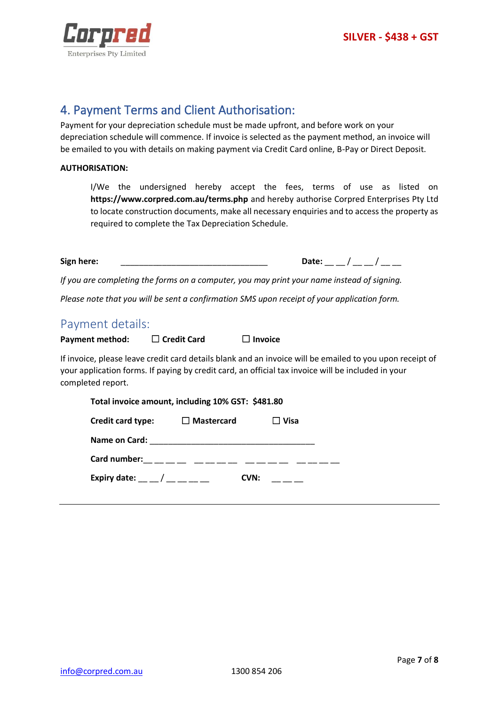

## 4. Payment Terms and Client Authorisation:

Payment for your depreciation schedule must be made upfront, and before work on your depreciation schedule will commence. If invoice is selected as the payment method, an invoice will be emailed to you with details on making payment via Credit Card online, B-Pay or Direct Deposit.

#### **AUTHORISATION:**

I/We the undersigned hereby accept the fees, terms of use as listed on **<https://www.corpred.com.au/terms.php>** and hereby authorise Corpred Enterprises Pty Ltd to locate construction documents, make all necessary enquiries and to access the property as required to complete the Tax Depreciation Schedule.

| Sign here: |      |  |
|------------|------|--|
|            | Dale |  |

*If you are completing the forms on a computer, you may print your name instead of signing.* 

*Please note that you will be sent a confirmation SMS upon receipt of your application form.*

### Payment details:

| Payment method: | $\Box$ Credit Card | $\Box$ Invoice |
|-----------------|--------------------|----------------|
|-----------------|--------------------|----------------|

If invoice, please leave credit card details blank and an invoice will be emailed to you upon receipt of your application forms. If paying by credit card, an official tax invoice will be included in your completed report.

| Total invoice amount, including 10% GST: \$481.80                                                                                                                                                                                                                                                                    |             |  |  |
|----------------------------------------------------------------------------------------------------------------------------------------------------------------------------------------------------------------------------------------------------------------------------------------------------------------------|-------------|--|--|
| $\Box$ Mastercard<br>Credit card type:                                                                                                                                                                                                                                                                               | $\Box$ Visa |  |  |
|                                                                                                                                                                                                                                                                                                                      |             |  |  |
| Card number:<br>$\frac{1}{2}$ $\frac{1}{2}$ $\frac{1}{2}$ $\frac{1}{2}$ $\frac{1}{2}$ $\frac{1}{2}$ $\frac{1}{2}$ $\frac{1}{2}$ $\frac{1}{2}$ $\frac{1}{2}$ $\frac{1}{2}$ $\frac{1}{2}$ $\frac{1}{2}$ $\frac{1}{2}$ $\frac{1}{2}$ $\frac{1}{2}$ $\frac{1}{2}$ $\frac{1}{2}$ $\frac{1}{2}$ $\frac{1}{2}$ $\frac{1}{2$ |             |  |  |
| Expiry date: $\sqrt{2.25}$                                                                                                                                                                                                                                                                                           | CVN:        |  |  |